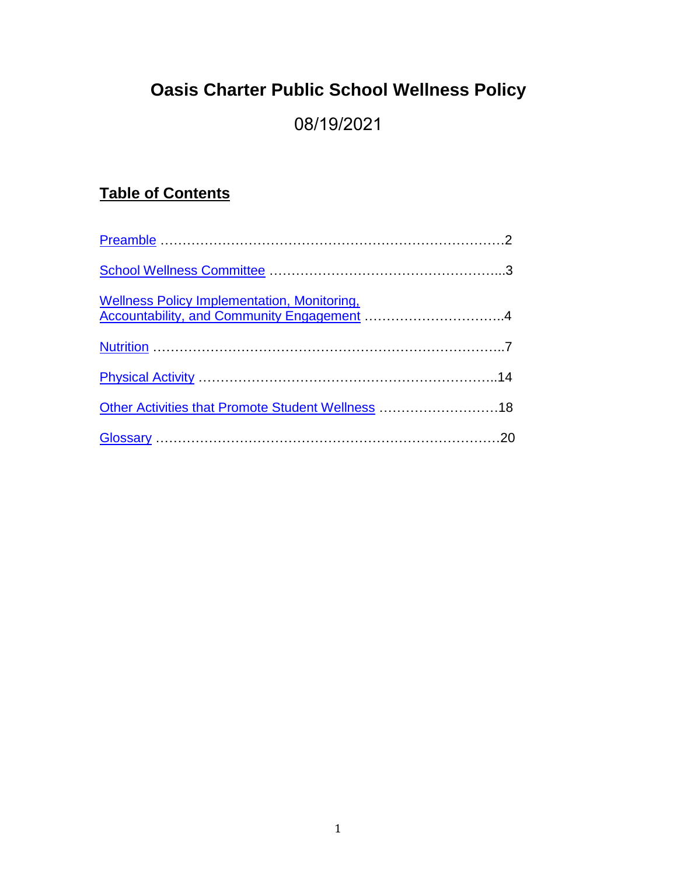# **Oasis Charter Public School Wellness Policy**

## 08/19/2021

## **Table of Contents**

| <b>Wellness Policy Implementation, Monitoring,</b> |  |
|----------------------------------------------------|--|
|                                                    |  |
|                                                    |  |
| Other Activities that Promote Student Wellness 18  |  |
|                                                    |  |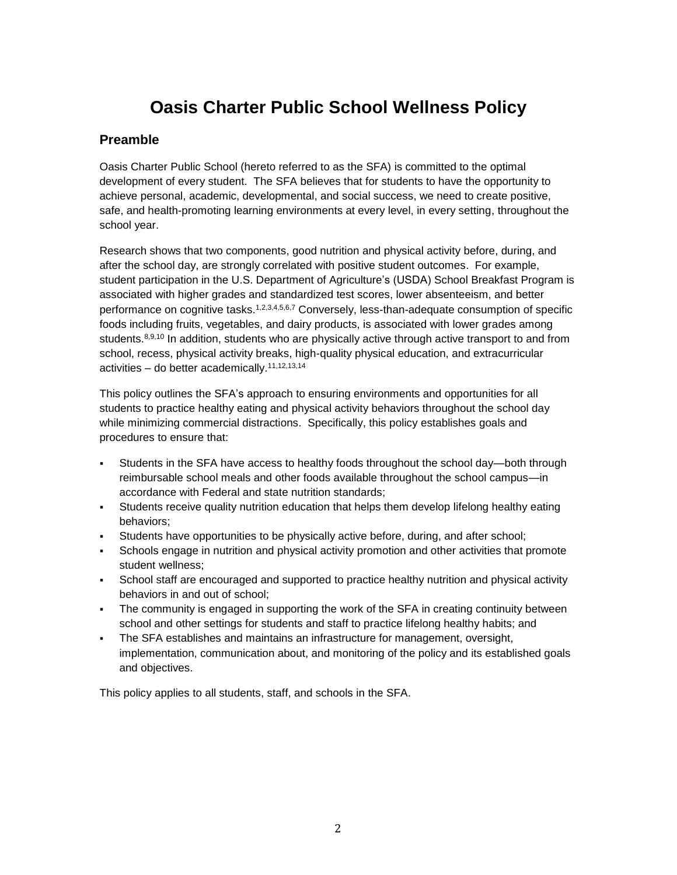## **Oasis Charter Public School Wellness Policy**

## <span id="page-1-0"></span>**Preamble**

Oasis Charter Public School (hereto referred to as the SFA) is committed to the optimal development of every student. The SFA believes that for students to have the opportunity to achieve personal, academic, developmental, and social success, we need to create positive, safe, and health-promoting learning environments at every level, in every setting, throughout the school year.

Research shows that two components, good nutrition and physical activity before, during, and after the school day, are strongly correlated with positive student outcomes. For example, student participation in the U.S. Department of Agriculture's (USDA) School Breakfast Program is associated with higher grades and standardized test scores, lower absenteeism, and better performance on cognitive tasks.<sup>1,2,3,4,5,6,7</sup> Conversely, less-than-adequate consumption of specific foods including fruits, vegetables, and dairy products, is associated with lower grades among students.<sup>8,9,10</sup> In addition, students who are physically active through active transport to and from school, recess, physical activity breaks, high-quality physical education, and extracurricular activities – do better academically.<sup>11,12,13,14</sup>

This policy outlines the SFA's approach to ensuring environments and opportunities for all students to practice healthy eating and physical activity behaviors throughout the school day while minimizing commercial distractions. Specifically, this policy establishes goals and procedures to ensure that:

- Students in the SFA have access to healthy foods throughout the school day—both through reimbursable school meals and other foods available throughout the school campus—in accordance with Federal and state nutrition standards;
- Students receive quality nutrition education that helps them develop lifelong healthy eating behaviors;
- Students have opportunities to be physically active before, during, and after school;
- Schools engage in nutrition and physical activity promotion and other activities that promote student wellness;
- School staff are encouraged and supported to practice healthy nutrition and physical activity behaviors in and out of school;
- The community is engaged in supporting the work of the SFA in creating continuity between school and other settings for students and staff to practice lifelong healthy habits; and
- The SFA establishes and maintains an infrastructure for management, oversight, implementation, communication about, and monitoring of the policy and its established goals and objectives.

This policy applies to all students, staff, and schools in the SFA.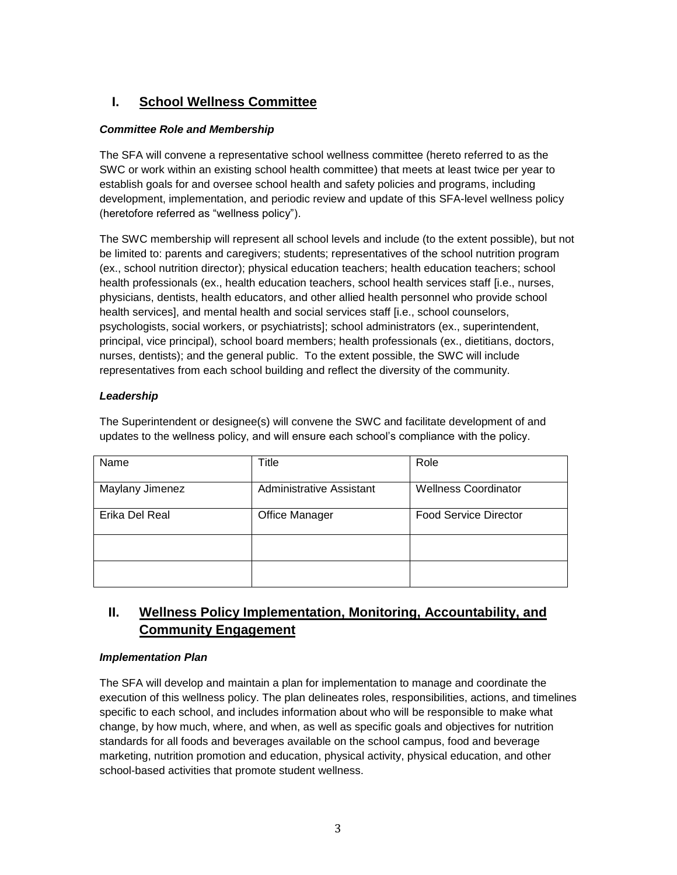## <span id="page-2-0"></span>**I. School Wellness Committee**

## *Committee Role and Membership*

The SFA will convene a representative school wellness committee (hereto referred to as the SWC or work within an existing school health committee) that meets at least twice per year to establish goals for and oversee school health and safety policies and programs, including development, implementation, and periodic review and update of this SFA-level wellness policy (heretofore referred as "wellness policy").

The SWC membership will represent all school levels and include (to the extent possible), but not be limited to: parents and caregivers; students; representatives of the school nutrition program (ex., school nutrition director); physical education teachers; health education teachers; school health professionals (ex., health education teachers, school health services staff [i.e., nurses, physicians, dentists, health educators, and other allied health personnel who provide school health services], and mental health and social services staff [i.e., school counselors, psychologists, social workers, or psychiatrists]; school administrators (ex., superintendent, principal, vice principal), school board members; health professionals (ex., dietitians, doctors, nurses, dentists); and the general public. To the extent possible, the SWC will include representatives from each school building and reflect the diversity of the community.

## *Leadership*

The Superintendent or designee(s) will convene the SWC and facilitate development of and updates to the wellness policy, and will ensure each school's compliance with the policy.

| Name            | Title                           | Role                         |
|-----------------|---------------------------------|------------------------------|
| Maylany Jimenez | <b>Administrative Assistant</b> | <b>Wellness Coordinator</b>  |
| Erika Del Real  | <b>Office Manager</b>           | <b>Food Service Director</b> |
|                 |                                 |                              |
|                 |                                 |                              |

## <span id="page-2-1"></span>**II. Wellness Policy Implementation, Monitoring, Accountability, and Community Engagement**

### *Implementation Plan*

The SFA will develop and maintain a plan for implementation to manage and coordinate the execution of this wellness policy. The plan delineates roles, responsibilities, actions, and timelines specific to each school, and includes information about who will be responsible to make what change, by how much, where, and when, as well as specific goals and objectives for nutrition standards for all foods and beverages available on the school campus, food and beverage marketing, nutrition promotion and education, physical activity, physical education, and other school-based activities that promote student wellness.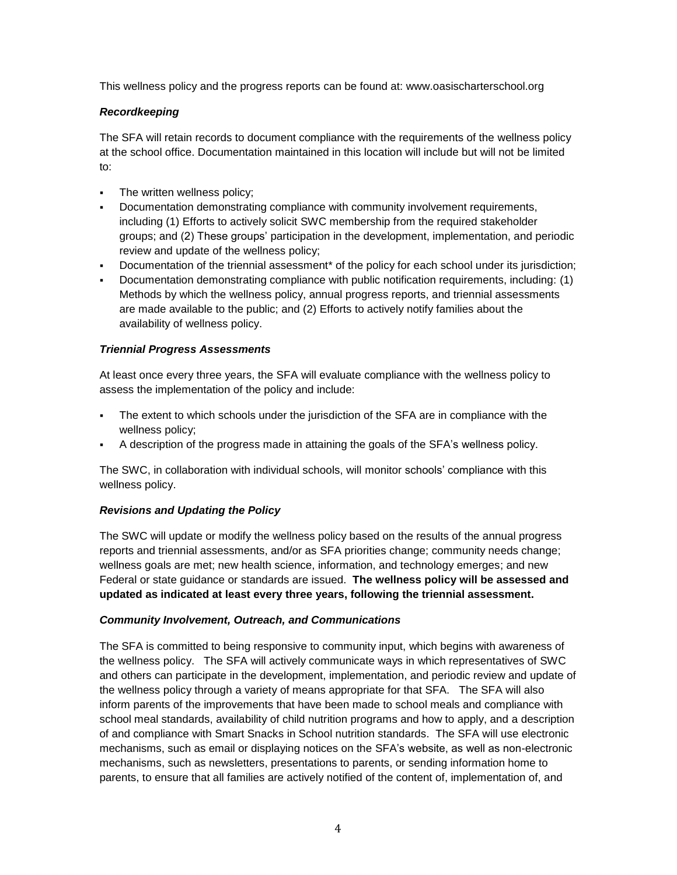This wellness policy and the progress reports can be found at: www.oasischarterschool.org

### *Recordkeeping*

The SFA will retain records to document compliance with the requirements of the wellness policy at the school office. Documentation maintained in this location will include but will not be limited to:

- The written wellness policy;
- Documentation demonstrating compliance with community involvement requirements, including (1) Efforts to actively solicit SWC membership from the required stakeholder groups; and (2) These groups' participation in the development, implementation, and periodic review and update of the wellness policy;
- Documentation of the triennial assessment\* of the policy for each school under its jurisdiction;
- Documentation demonstrating compliance with public notification requirements, including: (1) Methods by which the wellness policy, annual progress reports, and triennial assessments are made available to the public; and (2) Efforts to actively notify families about the availability of wellness policy.

### *Triennial Progress Assessments*

At least once every three years, the SFA will evaluate compliance with the wellness policy to assess the implementation of the policy and include:

- The extent to which schools under the jurisdiction of the SFA are in compliance with the wellness policy;
- A description of the progress made in attaining the goals of the SFA's wellness policy.

The SWC, in collaboration with individual schools, will monitor schools' compliance with this wellness policy.

### *Revisions and Updating the Policy*

The SWC will update or modify the wellness policy based on the results of the annual progress reports and triennial assessments, and/or as SFA priorities change; community needs change; wellness goals are met; new health science, information, and technology emerges; and new Federal or state guidance or standards are issued. **The wellness policy will be assessed and updated as indicated at least every three years, following the triennial assessment.**

### *Community Involvement, Outreach, and Communications*

The SFA is committed to being responsive to community input, which begins with awareness of the wellness policy. The SFA will actively communicate ways in which representatives of SWC and others can participate in the development, implementation, and periodic review and update of the wellness policy through a variety of means appropriate for that SFA. The SFA will also inform parents of the improvements that have been made to school meals and compliance with school meal standards, availability of child nutrition programs and how to apply, and a description of and compliance with Smart Snacks in School nutrition standards. The SFA will use electronic mechanisms, such as email or displaying notices on the SFA's website, as well as non-electronic mechanisms, such as newsletters, presentations to parents, or sending information home to parents, to ensure that all families are actively notified of the content of, implementation of, and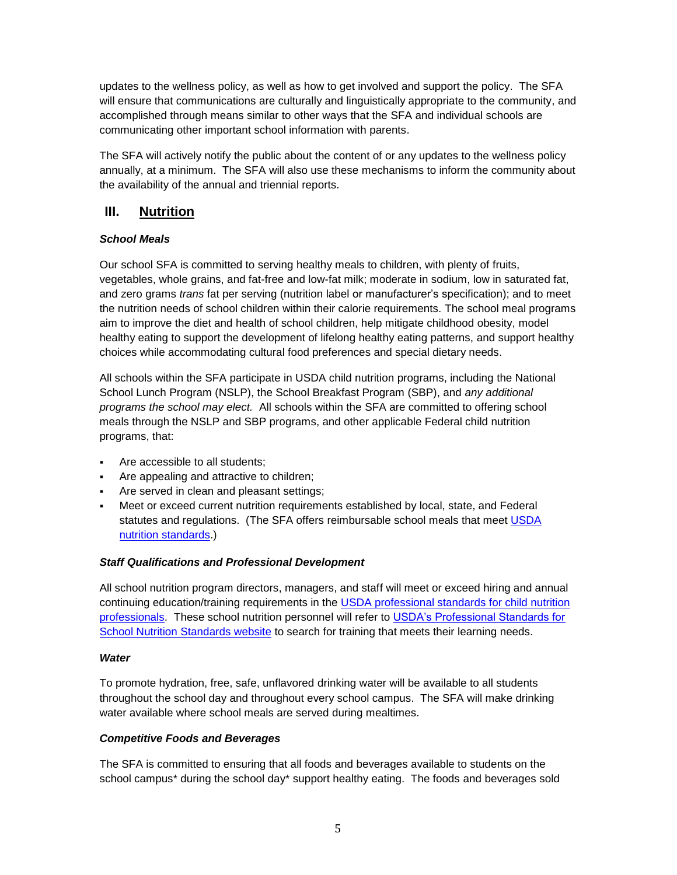updates to the wellness policy, as well as how to get involved and support the policy. The SFA will ensure that communications are culturally and linguistically appropriate to the community, and accomplished through means similar to other ways that the SFA and individual schools are communicating other important school information with parents.

The SFA will actively notify the public about the content of or any updates to the wellness policy annually, at a minimum. The SFA will also use these mechanisms to inform the community about the availability of the annual and triennial reports.

## <span id="page-4-0"></span>**III. Nutrition**

## *School Meals*

Our school SFA is committed to serving healthy meals to children, with plenty of fruits, vegetables, whole grains, and fat-free and low-fat milk; moderate in sodium, low in saturated fat, and zero grams *trans* fat per serving (nutrition label or manufacturer's specification); and to meet the nutrition needs of school children within their calorie requirements. The school meal programs aim to improve the diet and health of school children, help mitigate childhood obesity, model healthy eating to support the development of lifelong healthy eating patterns, and support healthy choices while accommodating cultural food preferences and special dietary needs.

All schools within the SFA participate in USDA child nutrition programs, including the National School Lunch Program (NSLP), the School Breakfast Program (SBP), and *any additional programs the school may elect.* All schools within the SFA are committed to offering school meals through the NSLP and SBP programs, and other applicable Federal child nutrition programs, that:

- Are accessible to all students;
- Are appealing and attractive to children;
- Are served in clean and pleasant settings;
- Meet or exceed current nutrition requirements established by local, state, and Federal statutes and regulations. (The SFA offers reimbursable school meals that meet [USDA](http://www.fns.usda.gov/school-meals/nutrition-standards-school-meals)  [nutrition standards.\)](http://www.fns.usda.gov/school-meals/nutrition-standards-school-meals)

## *Staff Qualifications and Professional Development*

All school nutrition program directors, managers, and staff will meet or exceed hiring and annual continuing education/training requirements in the [USDA professional standards for child nutrition](http://www.fns.usda.gov/sites/default/files/CN2014-0130.pdf)  [professionals.](http://www.fns.usda.gov/sites/default/files/CN2014-0130.pdf) These school nutrition personnel will refer to [USDA's Professional Standards for](http://professionalstandards.nal.usda.gov/)  [School Nutrition Standards website](http://professionalstandards.nal.usda.gov/) to search for training that meets their learning needs.

## *Water*

To promote hydration, free, safe, unflavored drinking water will be available to all students throughout the school day and throughout every school campus. The SFA will make drinking water available where school meals are served during mealtimes.

## *Competitive Foods and Beverages*

The SFA is committed to ensuring that all foods and beverages available to students on the school campus\* during the school day\* support healthy eating. The foods and beverages sold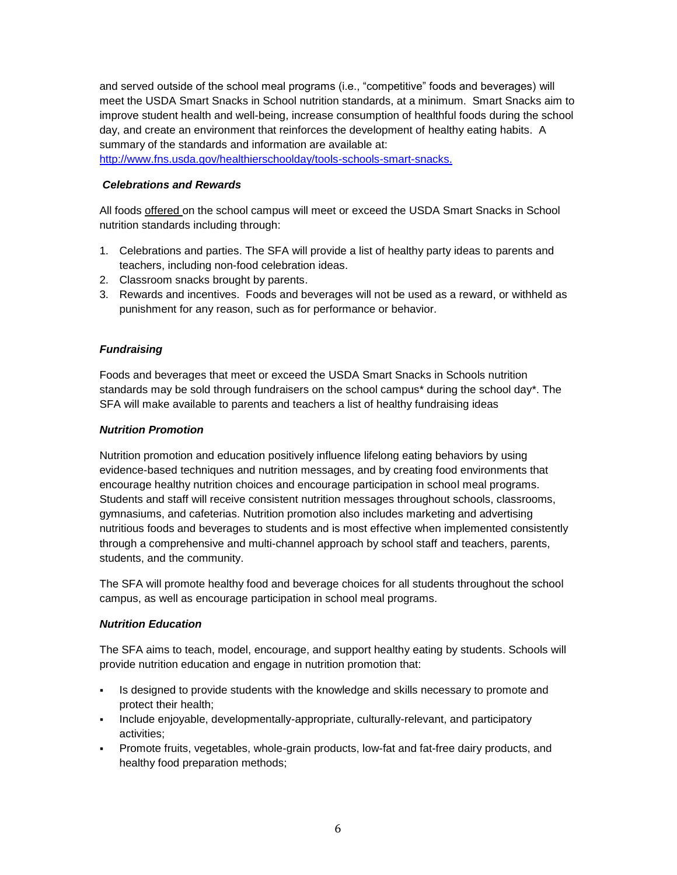and served outside of the school meal programs (i.e., "competitive" foods and beverages) will meet the USDA Smart Snacks in School nutrition standards, at a minimum. Smart Snacks aim to improve student health and well-being, increase consumption of healthful foods during the school day, and create an environment that reinforces the development of healthy eating habits. A summary of the standards and information are available at:

[http://www.fns.usda.gov/healthierschoolday/tools-schools-smart-snacks.](http://www.fns.usda.gov/healthierschoolday/tools-schools-smart-snacks)

### *Celebrations and Rewards*

All foods offered on the school campus will meet or exceed the USDA Smart Snacks in School nutrition standards including through:

- 1. Celebrations and parties. The SFA will provide a list of healthy party ideas to parents and teachers, including non-food celebration ideas.
- 2. Classroom snacks brought by parents.
- 3. Rewards and incentives. Foods and beverages will not be used as a reward, or withheld as punishment for any reason, such as for performance or behavior.

### *Fundraising*

Foods and beverages that meet or exceed the USDA Smart Snacks in Schools nutrition standards may be sold through fundraisers on the school campus\* during the school day\*. The SFA will make available to parents and teachers a list of healthy fundraising ideas

#### *Nutrition Promotion*

Nutrition promotion and education positively influence lifelong eating behaviors by using evidence-based techniques and nutrition messages, and by creating food environments that encourage healthy nutrition choices and encourage participation in school meal programs. Students and staff will receive consistent nutrition messages throughout schools, classrooms, gymnasiums, and cafeterias. Nutrition promotion also includes marketing and advertising nutritious foods and beverages to students and is most effective when implemented consistently through a comprehensive and multi-channel approach by school staff and teachers, parents, students, and the community.

The SFA will promote healthy food and beverage choices for all students throughout the school campus, as well as encourage participation in school meal programs.

#### *Nutrition Education*

The SFA aims to teach, model, encourage, and support healthy eating by students. Schools will provide nutrition education and engage in nutrition promotion that:

- Is designed to provide students with the knowledge and skills necessary to promote and protect their health;
- Include enjoyable, developmentally-appropriate, culturally-relevant, and participatory activities;
- Promote fruits, vegetables, whole-grain products, low-fat and fat-free dairy products, and healthy food preparation methods;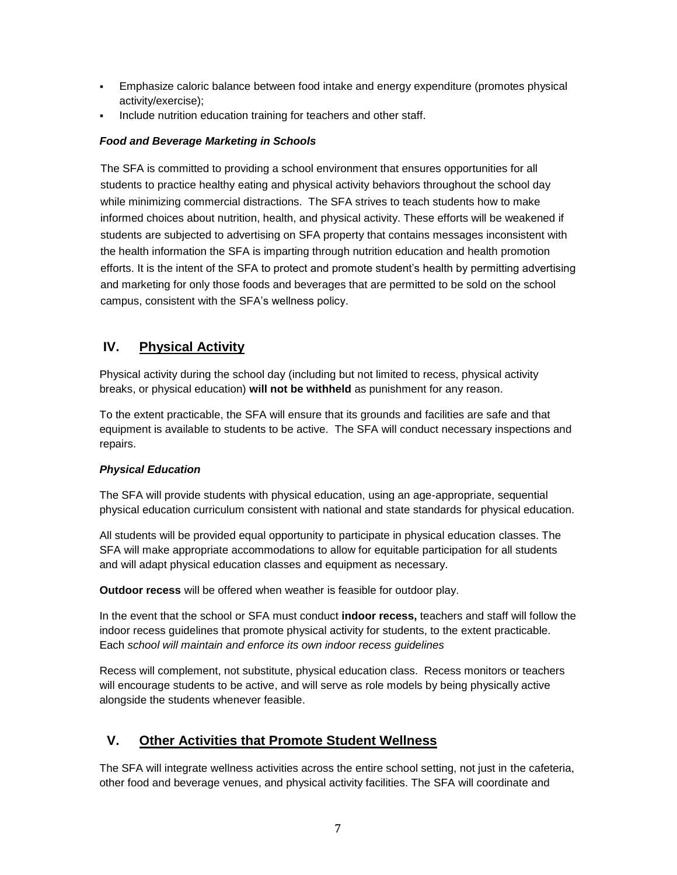- Emphasize caloric balance between food intake and energy expenditure (promotes physical activity/exercise);
- Include nutrition education training for teachers and other staff.

## *Food and Beverage Marketing in Schools*

The SFA is committed to providing a school environment that ensures opportunities for all students to practice healthy eating and physical activity behaviors throughout the school day while minimizing commercial distractions. The SFA strives to teach students how to make informed choices about nutrition, health, and physical activity. These efforts will be weakened if students are subjected to advertising on SFA property that contains messages inconsistent with the health information the SFA is imparting through nutrition education and health promotion efforts. It is the intent of the SFA to protect and promote student's health by permitting advertising and marketing for only those foods and beverages that are permitted to be sold on the school campus, consistent with the SFA's wellness policy.

## <span id="page-6-0"></span>**IV. Physical Activity**

Physical activity during the school day (including but not limited to recess, physical activity breaks, or physical education) **will not be withheld** as punishment for any reason.

To the extent practicable, the SFA will ensure that its grounds and facilities are safe and that equipment is available to students to be active. The SFA will conduct necessary inspections and repairs.

## *Physical Education*

The SFA will provide students with physical education, using an age-appropriate, sequential physical education curriculum consistent with national and state standards for physical education.

All students will be provided equal opportunity to participate in physical education classes. The SFA will make appropriate accommodations to allow for equitable participation for all students and will adapt physical education classes and equipment as necessary.

**Outdoor recess** will be offered when weather is feasible for outdoor play.

In the event that the school or SFA must conduct **indoor recess,** teachers and staff will follow the indoor recess guidelines that promote physical activity for students, to the extent practicable. Each *school will maintain and enforce its own indoor recess guidelines*

Recess will complement, not substitute, physical education class. Recess monitors or teachers will encourage students to be active, and will serve as role models by being physically active alongside the students whenever feasible.

## <span id="page-6-1"></span>**V. Other Activities that Promote Student Wellness**

The SFA will integrate wellness activities across the entire school setting, not just in the cafeteria, other food and beverage venues, and physical activity facilities. The SFA will coordinate and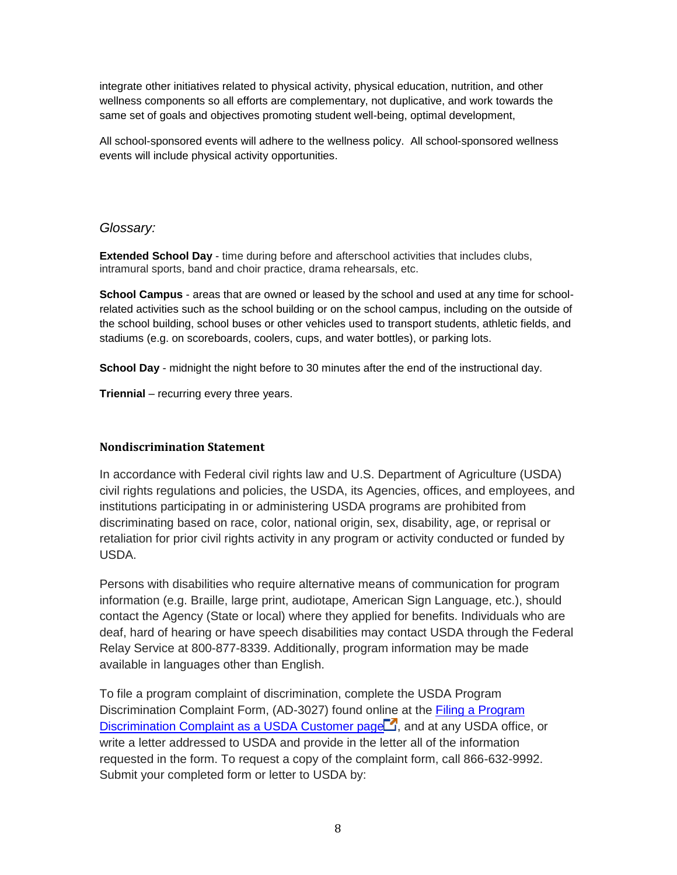integrate other initiatives related to physical activity, physical education, nutrition, and other wellness components so all efforts are complementary, not duplicative, and work towards the same set of goals and objectives promoting student well-being, optimal development,

<span id="page-7-0"></span>All school-sponsored events will adhere to the wellness policy. All school-sponsored wellness events will include physical activity opportunities.

## *Glossary:*

**Extended School Day** - time during before and afterschool activities that includes clubs, intramural sports, band and choir practice, drama rehearsals, etc.

**School Campus** - areas that are owned or leased by the school and used at any time for schoolrelated activities such as the school building or on the school campus, including on the outside of the school building, school buses or other vehicles used to transport students, athletic fields, and stadiums (e.g. on scoreboards, coolers, cups, and water bottles), or parking lots.

**School Day** - midnight the night before to 30 minutes after the end of the instructional day.

**Triennial** – recurring every three years.

### **Nondiscrimination Statement**

In accordance with Federal civil rights law and U.S. Department of Agriculture (USDA) civil rights regulations and policies, the USDA, its Agencies, offices, and employees, and institutions participating in or administering USDA programs are prohibited from discriminating based on race, color, national origin, sex, disability, age, or reprisal or retaliation for prior civil rights activity in any program or activity conducted or funded by USDA.

Persons with disabilities who require alternative means of communication for program information (e.g. Braille, large print, audiotape, American Sign Language, etc.), should contact the Agency (State or local) where they applied for benefits. Individuals who are deaf, hard of hearing or have speech disabilities may contact USDA through the Federal Relay Service at 800-877-8339. Additionally, program information may be made available in languages other than English.

To file a program complaint of discrimination, complete the USDA Program Discrimination Complaint Form, (AD-3027) found online at the **Filing a Program** [Discrimination Complaint as a USDA Customer page](http://www.ascr.usda.gov/complaint_filing_cust.html)  $\Box$ , and at any USDA office, or write a letter addressed to USDA and provide in the letter all of the information requested in the form. To request a copy of the complaint form, call 866-632-9992. Submit your completed form or letter to USDA by: